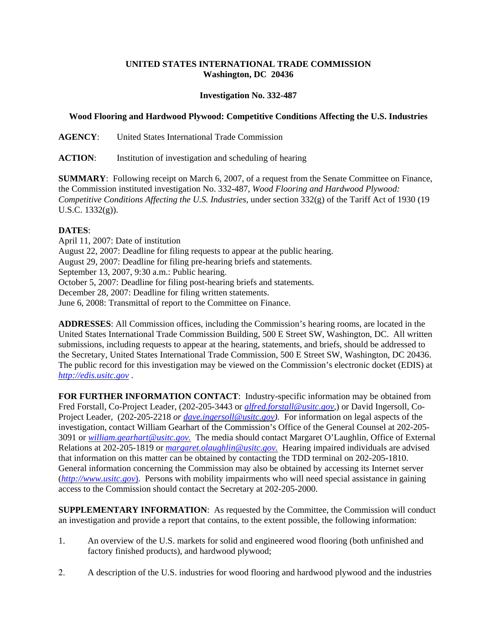## **UNITED STATES INTERNATIONAL TRADE COMMISSION Washington, DC 20436**

## **Investigation No. 332-487**

## **Wood Flooring and Hardwood Plywood: Competitive Conditions Affecting the U.S. Industries**

**AGENCY**: United States International Trade Commission

**ACTION**: Institution of investigation and scheduling of hearing

**SUMMARY**: Following receipt on March 6, 2007, of a request from the Senate Committee on Finance, the Commission instituted investigation No. 332-487, *Wood Flooring and Hardwood Plywood: Competitive Conditions Affecting the U.S. Industries*, under section 332(g) of the Tariff Act of 1930 (19 U.S.C. 1332(g)).

## **DATES**:

April 11, 2007: Date of institution August 22, 2007: Deadline for filing requests to appear at the public hearing. August 29, 2007: Deadline for filing pre-hearing briefs and statements. September 13, 2007, 9:30 a.m.: Public hearing. October 5, 2007: Deadline for filing post-hearing briefs and statements. December 28, 2007: Deadline for filing written statements. June 6, 2008: Transmittal of report to the Committee on Finance.

**ADDRESSES**: All Commission offices, including the Commission's hearing rooms, are located in the United States International Trade Commission Building, 500 E Street SW, Washington, DC. All written submissions, including requests to appear at the hearing, statements, and briefs, should be addressed to the Secretary, United States International Trade Commission, 500 E Street SW, Washington, DC 20436. The public record for this investigation may be viewed on the Commission's electronic docket (EDIS) at *http://edis.usitc.gov* .

**FOR FURTHER INFORMATION CONTACT**: Industry-specific information may be obtained from Fred Forstall, Co-Project Leader, (202-205-3443 or *alfred.forstall@usitc.gov*,) or David Ingersoll, Co-Project Leader, (202-205-2218 *or dave.ingersoll@usitc.gov)*. For information on legal aspects of the investigation, contact William Gearhart of the Commission's Office of the General Counsel at 202-205- 3091 or *william.gearhart@usitc.gov.* The media should contact Margaret O'Laughlin, Office of External Relations at 202-205-1819 or *margaret.olaughlin@usitc.gov.* Hearing impaired individuals are advised that information on this matter can be obtained by contacting the TDD terminal on 202-205-1810. General information concerning the Commission may also be obtained by accessing its Internet server (*http://www.usitc.gov*). Persons with mobility impairments who will need special assistance in gaining access to the Commission should contact the Secretary at 202-205-2000.

**SUPPLEMENTARY INFORMATION:** As requested by the Committee, the Commission will conduct an investigation and provide a report that contains, to the extent possible, the following information:

- 1. An overview of the U.S. markets for solid and engineered wood flooring (both unfinished and factory finished products), and hardwood plywood;
- 2. A description of the U.S. industries for wood flooring and hardwood plywood and the industries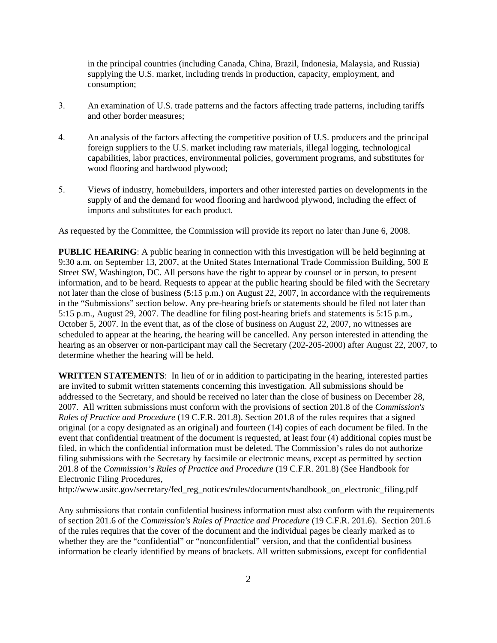in the principal countries (including Canada, China, Brazil, Indonesia, Malaysia, and Russia) supplying the U.S. market, including trends in production, capacity, employment, and consumption;

- 3. An examination of U.S. trade patterns and the factors affecting trade patterns, including tariffs and other border measures;
- 4. An analysis of the factors affecting the competitive position of U.S. producers and the principal foreign suppliers to the U.S. market including raw materials, illegal logging, technological capabilities, labor practices, environmental policies, government programs, and substitutes for wood flooring and hardwood plywood;
- 5. Views of industry, homebuilders, importers and other interested parties on developments in the supply of and the demand for wood flooring and hardwood plywood, including the effect of imports and substitutes for each product.

As requested by the Committee, the Commission will provide its report no later than June 6, 2008.

**PUBLIC HEARING:** A public hearing in connection with this investigation will be held beginning at 9:30 a.m. on September 13, 2007, at the United States International Trade Commission Building, 500 E Street SW, Washington, DC. All persons have the right to appear by counsel or in person, to present information, and to be heard. Requests to appear at the public hearing should be filed with the Secretary not later than the close of business (5:15 p.m.) on August 22, 2007, in accordance with the requirements in the "Submissions" section below. Any pre-hearing briefs or statements should be filed not later than 5:15 p.m., August 29, 2007. The deadline for filing post-hearing briefs and statements is 5:15 p.m., October 5, 2007. In the event that, as of the close of business on August 22, 2007, no witnesses are scheduled to appear at the hearing, the hearing will be cancelled. Any person interested in attending the hearing as an observer or non-participant may call the Secretary (202-205-2000) after August 22, 2007, to determine whether the hearing will be held.

**WRITTEN STATEMENTS**: In lieu of or in addition to participating in the hearing, interested parties are invited to submit written statements concerning this investigation. All submissions should be addressed to the Secretary, and should be received no later than the close of business on December 28, 2007. All written submissions must conform with the provisions of section 201.8 of the *Commission's Rules of Practice and Procedure* (19 C.F.R. 201.8). Section 201.8 of the rules requires that a signed original (or a copy designated as an original) and fourteen (14) copies of each document be filed. In the event that confidential treatment of the document is requested, at least four (4) additional copies must be filed, in which the confidential information must be deleted. The Commission's rules do not authorize filing submissions with the Secretary by facsimile or electronic means, except as permitted by section 201.8 of the *Commission's Rules of Practice and Procedure* (19 C.F.R. 201.8) (See Handbook for Electronic Filing Procedures,

http://www.usitc.gov/secretary/fed\_reg\_notices/rules/documents/handbook\_on\_electronic\_filing.pdf

Any submissions that contain confidential business information must also conform with the requirements of section 201.6 of the *Commission's Rules of Practice and Procedure* (19 C.F.R. 201.6). Section 201.6 of the rules requires that the cover of the document and the individual pages be clearly marked as to whether they are the "confidential" or "nonconfidential" version, and that the confidential business information be clearly identified by means of brackets. All written submissions, except for confidential